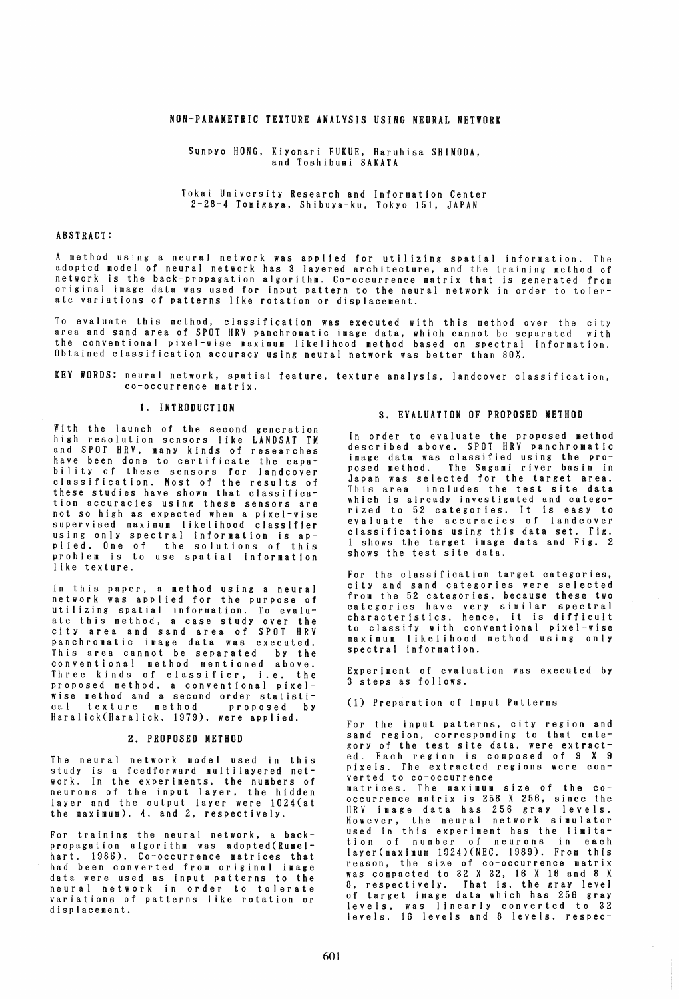# NON-PARAMETRIC TEXTURE ANALYSIS USING NEURAL NETWORK

# Sunpyo HONG. Kiyonari FUKUE, Haruhisa SHIMODA, and Toshibumi SAKATA

## Tokai University Research and Information Center 2-28-4 Tomigaya, Shibuya-ku, Tokyo 151, JAPAN

## ABSTRACT:

A method using a neural network was applied for utilizing spatial information. The adopted model of neural network has 3 layered architecture, and the training method of network is the back-propagation algorithm. Co-occurrence matrix that is generated from original image data was used for input pattern to the neural network in order to tolerate variations of patterns like rotation or displacement.

To evaluate this method, classification was executed with this method over the city<br>area and sand area of SPOT HRV panchromatic image data, which cannot be separated with the conventional pixel-wise maximum likelihood method based on spectral information Obtained classification accuracy using neural network was better than 80%.

KEY WORDS: neural network. spatial feature, texture analysis, landcover classification, co-occurrence matrix.

# 1. INTRODUCTION

With the launch of the second generation high resolution sensors like LANDSAT TM and SPOT HRV, many kinds of researches have been done to certificate the capability of these sensors for landcover classification. Most of the results of these studies have shown that classification accuracies using these sensors are not so high as expected when a pixel-wise supervised maximum likelihood classifier using only spectral information is applied. One of the solutions of this problem is to use spatial information like texture.

In this paper, a method using a neural network was applied for the purpose of utilizing spatial information. To evaluate this method, a case study over the city area and sand area of SPOT HRV panchromatic image data was executed. This area cannot be separated by the conventional method mentioned above. Three kinds of classifier. i.e. the proposed method. a conventional pixelwise method and a second order statistical texture method proposed by cal texture method proposed by<br>Haralick(Haralick, 1979), were applied.

#### 2. PROPOSED METHOD

The neural network model used in this study is a feedforward multilayered network. In the experiments. the numbers of neurons of the input layer, the hidden layer and the output layer were l024(at the maximum), 4, and 2, respectively.

For training the neural network. a backpropagation algorithm was adopted(Rumelhart, 1986). Co-occurrence matrices that had been converted from original image data were used as input patterns to the neural network in order to tolerate variations of patterns like rotation or displacement.

# 3. EVALUATION OF PROPOSED METHOD

In order to evaluate the proposed method described above, SPOT HRV panchromatic image data was classified using the proposed method. The Sagami river basin in This area includes the test site data which is already investigated and categorized to 52 categories. It is easy to evaluate the accuracies of landcover classifications using this data set. Fig. 1 shows the target image data and Fig. 2 shows the test site data.

For the classification target categories. city and sand categories were selected from the 52 categories, because these two categories have very similar spectral characteristics, hence, it is difficult to classify with conventional pixel-wise maximum likelihood method using only spectral information.

Experiment of evaluation was executed by 3 steps as follows.

(1) Preparation of Input Patterns

For the input patterns. city region and sand region, corresponding to that category of the test site data, were extracted. Each region is composed of 9 X 9 pixels. The extracted regions were con-<br>verted to co-occurrence<br>matrices. The maximum size of the co-<br>occurrence matrix is 256 X 256, since the HRV image data has 256 gray levels. However, the neural network simulator used in this experiment has the limitation of number of neurons in each layer(maximum 1024)(NEC, 1989). From this reason, the size of co-occurrence matrix was compacted to 32 X 32, 16 X 16 and 8 X 8, respectively. That is, the gray level of target image data which has 256 gray levels, was linearly converted to 32

levels. 16 levels and 8 levels, respec-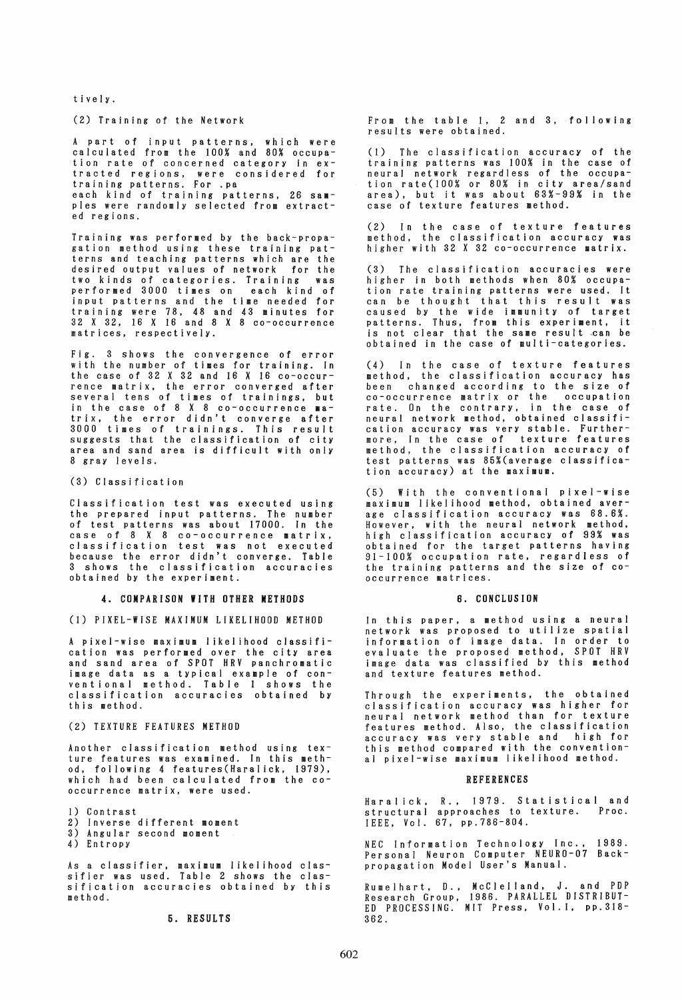t i ve l y.

### (2) Training of the Network

A part of input patterns, which were calculated from the 100% and 80% occupation rate of concerned category in ex- tracted regions, were considered for training patterns. For .pa

each kind of training patterns, 26 sampIes were randomly selected from extracted regions.

Training was performed by the back-propagation method using these training patterns and teaching patterns which are the desired output values of network two kinds of categories. Training was performed 3000 times on each kind of input patterns and the time needed for training were 78. 48 and 43 minutes for 32 X 32. 16 X 16 and 8 X 8 co-occurrence matrices, respectively.

Fig. 3 shows the convergence of error with the number of times for training. In the case of 32 X 32 and 16 X 16 co-occur- rence matrix, the error converged after several tens of times of trainings. but in the case of 8 X 8 co-occurrence latrix. the error didn't converge after 3000 times of trainings. This result suggests that the classification of city area and sand area is difficult with only 8 gray levels.

(3) Classification

Classification test was executed using the prepared input patterns. The number of test patterns was about 17000. In the case of 8 X 8 co-occurrence matrix, classification test was not executed because the error didn't converge. Table 3 shows the classification accuracies obtained by the experiment.

#### 4. COMPARISON WITH OTHER METHODS

(1) PIXEL-WISE MAXIMUM LIKELIHOOD METHOD

A pixel-wise maximum likelihood classification was performed over the city area and sand area of SPOT HRV panchromatic image data as a typical example of conventional method. Table 1 shows the classification accuracies obtained by this method.

## (2) TEXTURE FEATURES METHOD

Another classification method using texture features was examined. In this method. following 4 features(Haralick. 1979), which had been calculated from the co- occurrence matrix, were used.

1) Contrast

- 2) Inverse different moment
- 3) Angular second moment
- 4) Entropy

As a classifier, maximum likelihood classifier was used. Table 2 shows the classification accuracies obtained by this method.

## 5. RESULTS

From the table 1. 2 and 3, following results were obtained.

(1) The classification accuracy of the training patterns was 100% in the case of neural network regardless of the occupation rate(lOO% or 80% in city area/sand area), but it was about 63%-99% in the case of texture features method.

(2) In the case of texture features method, the classification accuracy was higher with 32 X 32 co-occurrence matrix.

(3) The classification accuracies were higher in both methods when 80% occupation rate training patterns were used. It can be thought that this result was caused by the wide immunity of target patterns. Thus. from this experiment, it is not clear that the same result can be obtained in the case of multi-categories.

(4) In the case of texture features wethod. the classification accuracy has<br>been changed according to the size of been changed according to the size of co-occurrence matrix or the occupation rate. On the contrary. in the case of neural network method. obtained classification accuracy was very stable. Furthermore, In the case of texture features method, the classification accuracy of test patterns was 85%(average classification accuracy) at the maximum.

(5) With the conventional pixel-wise maximum I ikel ihood method, obtained aver- age classification accuracy was 68.6%. However, with the neural network method,<br>high classification accuracy of 99% was<br>obtained for the target patterns having 91-100% occupation rate, regardless of the training patterns and the size of cooccurrence matrices.

#### 6. CONCLUSION

In this paper, a method using a neural network was proposed to utilize spatial information of image data. In order to evaluate the proposed method, SPOT HRV image data was classified by this method and texture features method.

Through the experiments. the obtained classification accuracy was higher for neural network method than for texture features method. Also, the classification accuracy was very stable and high for this method compared with the conventional pixel-wise maximum likelihood method.

### REFERENCES

Haralick, R., 1979. Statistical and structural approaches to texture. Proc. IEEE. Vol. 67. pp.786-804.

NEC Information Technology Inc .• 1989. Personal Neuron Computer NEURO-07 Backpropagation Model User's Manual.

Rumelhart, D., Research Group. ED PROCESSING. 362. McClelland. J. and PDP 1986. PARALLEL DISTRIBUT-MIT Press. Vol.l, pp.318-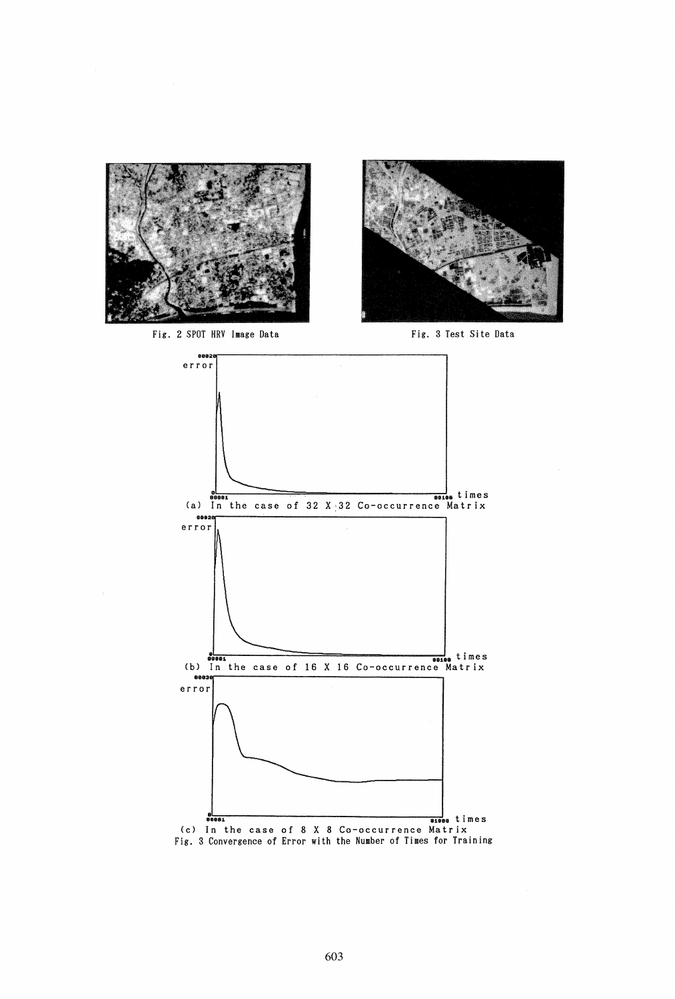

Fig. 2 SPOT HRV Image Data Fig. 3 Test Site Data





Fig. 3 Convergence of Error with the Number of Times for Training